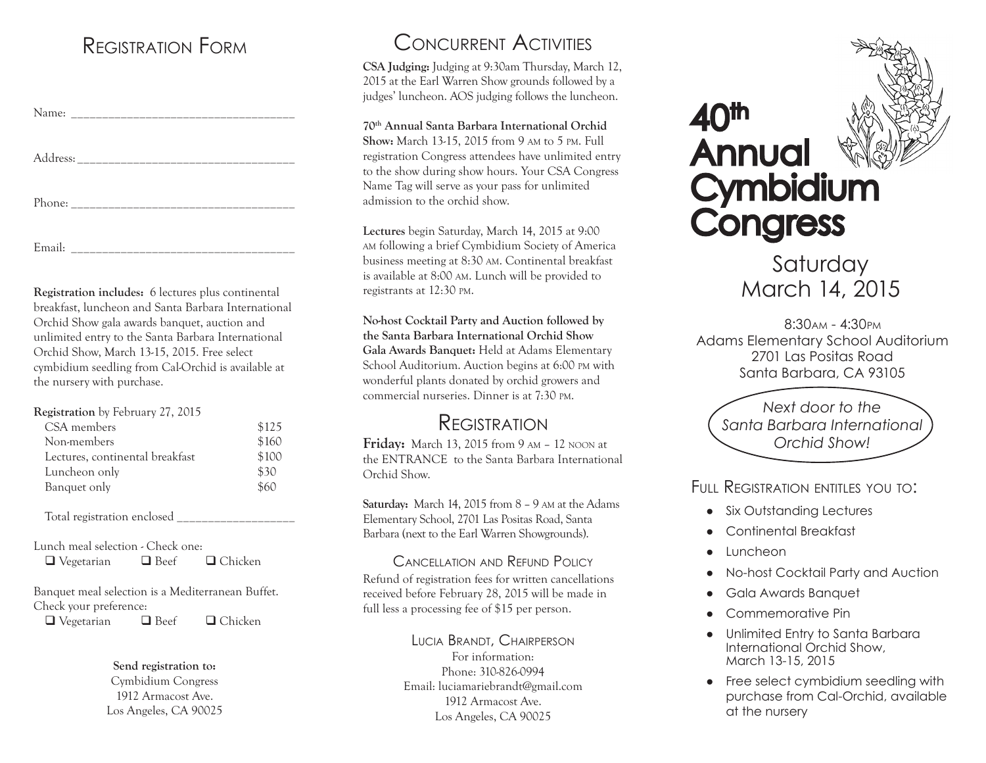### Registration Form

**Registration includes:** 6 lectures plus continental breakfast, luncheon and Santa Barbara International Orchid Show gala awards banquet, auction and unlimited entry to the Santa Barbara International Orchid Show, March 13-15, 2015. Free select cymbidium seedling from Cal-Orchid is available at the nursery with purchase.

**Registration** by February 27, 2015

| CSA members                     | \$125 |
|---------------------------------|-------|
| Non-members                     | \$160 |
| Lectures, continental breakfast | \$100 |
| Luncheon only                   | \$30  |
| Banquet only                    | \$60  |

Total registration enclosed

Lunch meal selection - Check one:

Banquet meal selection is a Mediterranean Buffet. Check your preference:

 $\Box$  Vegetarian  $\Box$  Beef  $\Box$  Chicken

#### **Send registration to:**

Cymbidium Congress 1912 Armacost Ave. Los Angeles, CA 90025

## Concurrent Activities

**CSA Judging:** Judging at 9:30am Thursday, March 12, 2015 at the Earl Warren Show grounds followed by a judges' luncheon. AOS judging follows the luncheon.

### **70th Annual Santa Barbara International Orchid**

**Show:** March 13-15, 2015 from 9 am to 5 pm. Full registration Congress attendees have unlimited entry to the show during show hours. Your CSA Congress Name Tag will serve as your pass for unlimited admission to the orchid show.

**Lectures** begin Saturday, March 14, 2015 at 9:00 am following a brief Cymbidium Society of America business meeting at 8:30 am. Continental breakfast is available at 8:00 am. Lunch will be provided to registrants at 12:30 pm.

**No-host Cocktail Party and Auction followed by the Santa Barbara International Orchid Show Gala Awards Banquet:** Held at Adams Elementary School Auditorium. Auction begins at 6:00 pm with wonderful plants donated by orchid growers and commercial nurseries. Dinner is at 7:30 pm.

### **REGISTRATION**

**Friday:** March 13, 2015 from 9 am – 12 noon at the ENTRANCE to the Santa Barbara International Orchid Show.

**Saturday:** March 14, 2015 from 8 – 9 am at the Adams Elementary School, 2701 Las Positas Road, Santa Barbara (next to the Earl Warren Showgrounds).

Cancellation and Refund Policy Refund of registration fees for written cancellations received before February 28, 2015 will be made in full less a processing fee of \$15 per person.

#### Lucia Brandt, Chairperson For information: Phone: 310-826-0994 Email: luciamariebrandt@gmail.com 1912 Armacost Ave. Los Angeles, CA 90025

40th Annual **Cymbidium Congress** 

**Saturday** March 14, 2015

 8:30am - 4:30pm Adams Elementary School Auditorium 2701 Las Positas Road Santa Barbara, CA 93105

*Next door to the Santa Barbara International Orchid Show!*

FIIII REGISTRATION ENTITLES YOU TO:

- Six Outstanding Lectures
- Continental Breakfast
- **Luncheon**
- ● No-host Cocktail Party and Auction
- ● Gala Awards Banquet
- Commemorative Pin
- ● Unlimited Entry to Santa Barbara International Orchid Show, March 13-15, 2015
- Free select cymbidium seedling with purchase from Cal-Orchid, available at the nursery